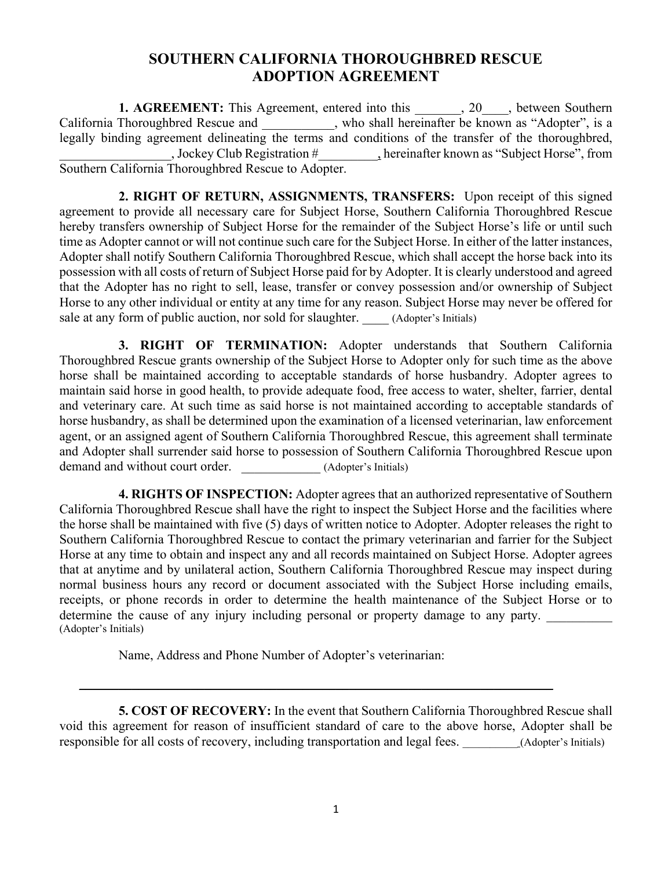## **SOUTHERN CALIFORNIA THOROUGHBRED RESCUE ADOPTION AGREEMENT**

**1. AGREEMENT:** This Agreement, entered into this \_\_\_\_\_, 20\_\_\_, between Southern California Thoroughbred Rescue and \_\_\_\_\_\_\_\_, who shall hereinafter be known as "Adopter", is a legally binding agreement delineating the terms and conditions of the transfer of the thoroughbred, \_\_\_\_\_\_\_\_\_\_\_\_\_\_\_\_\_, Jockey Club Registration #\_\_\_\_\_\_\_\_\_, hereinafter known as "Subject Horse", from Southern California Thoroughbred Rescue to Adopter.

**2. RIGHT OF RETURN, ASSIGNMENTS, TRANSFERS:** Upon receipt of this signed agreement to provide all necessary care for Subject Horse, Southern California Thoroughbred Rescue hereby transfers ownership of Subject Horse for the remainder of the Subject Horse's life or until such time as Adopter cannot or will not continue such care for the Subject Horse. In either of the latter instances, Adopter shall notify Southern California Thoroughbred Rescue, which shall accept the horse back into its possession with all costs of return of Subject Horse paid for by Adopter. It is clearly understood and agreed that the Adopter has no right to sell, lease, transfer or convey possession and/or ownership of Subject Horse to any other individual or entity at any time for any reason. Subject Horse may never be offered for sale at any form of public auction, nor sold for slaughter. (Adopter's Initials)

**3. RIGHT OF TERMINATION:** Adopter understands that Southern California Thoroughbred Rescue grants ownership of the Subject Horse to Adopter only for such time as the above horse shall be maintained according to acceptable standards of horse husbandry. Adopter agrees to maintain said horse in good health, to provide adequate food, free access to water, shelter, farrier, dental and veterinary care. At such time as said horse is not maintained according to acceptable standards of horse husbandry, as shall be determined upon the examination of a licensed veterinarian, law enforcement agent, or an assigned agent of Southern California Thoroughbred Rescue, this agreement shall terminate and Adopter shall surrender said horse to possession of Southern California Thoroughbred Rescue upon demand and without court order. <br> (Adopter's Initials)

**4. RIGHTS OF INSPECTION:** Adopter agrees that an authorized representative of Southern California Thoroughbred Rescue shall have the right to inspect the Subject Horse and the facilities where the horse shall be maintained with five (5) days of written notice to Adopter. Adopter releases the right to Southern California Thoroughbred Rescue to contact the primary veterinarian and farrier for the Subject Horse at any time to obtain and inspect any and all records maintained on Subject Horse. Adopter agrees that at anytime and by unilateral action, Southern California Thoroughbred Rescue may inspect during normal business hours any record or document associated with the Subject Horse including emails, receipts, or phone records in order to determine the health maintenance of the Subject Horse or to determine the cause of any injury including personal or property damage to any party. (Adopter's Initials)

Name, Address and Phone Number of Adopter's veterinarian:

**5. COST OF RECOVERY:** In the event that Southern California Thoroughbred Rescue shall void this agreement for reason of insufficient standard of care to the above horse, Adopter shall be responsible for all costs of recovery, including transportation and legal fees. (Adopter's Initials)

 $\_$  , and the set of the set of the set of the set of the set of the set of the set of the set of the set of the set of the set of the set of the set of the set of the set of the set of the set of the set of the set of th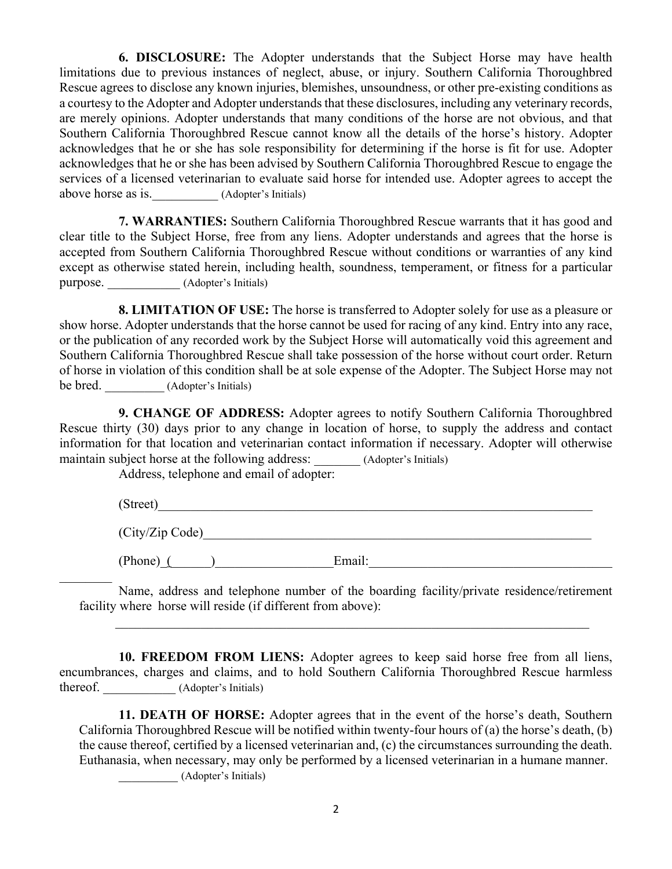**6. DISCLOSURE:** The Adopter understands that the Subject Horse may have health limitations due to previous instances of neglect, abuse, or injury. Southern California Thoroughbred Rescue agrees to disclose any known injuries, blemishes, unsoundness, or other pre-existing conditions as a courtesy to the Adopter and Adopter understands that these disclosures, including any veterinary records, are merely opinions. Adopter understands that many conditions of the horse are not obvious, and that Southern California Thoroughbred Rescue cannot know all the details of the horse's history. Adopter acknowledges that he or she has sole responsibility for determining if the horse is fit for use. Adopter acknowledges that he or she has been advised by Southern California Thoroughbred Rescue to engage the services of a licensed veterinarian to evaluate said horse for intended use. Adopter agrees to accept the above horse as is. (Adopter's Initials)

**7. WARRANTIES:** Southern California Thoroughbred Rescue warrants that it has good and clear title to the Subject Horse, free from any liens. Adopter understands and agrees that the horse is accepted from Southern California Thoroughbred Rescue without conditions or warranties of any kind except as otherwise stated herein, including health, soundness, temperament, or fitness for a particular purpose. (Adopter's Initials)

**8. LIMITATION OF USE:** The horse is transferred to Adopter solely for use as a pleasure or show horse. Adopter understands that the horse cannot be used for racing of any kind. Entry into any race, or the publication of any recorded work by the Subject Horse will automatically void this agreement and Southern California Thoroughbred Rescue shall take possession of the horse without court order. Return of horse in violation of this condition shall be at sole expense of the Adopter. The Subject Horse may not be bred. (Adopter's Initials)

**9. CHANGE OF ADDRESS:** Adopter agrees to notify Southern California Thoroughbred Rescue thirty (30) days prior to any change in location of horse, to supply the address and contact information for that location and veterinarian contact information if necessary. Adopter will otherwise maintain subject horse at the following address: (Adopter's Initials)

Address, telephone and email of adopter:

 $(Street)$  $(City/Zip: Code)$ (Phone)\_(\_\_\_\_\_\_)\_\_\_\_\_\_\_\_\_\_\_\_\_\_\_\_\_\_Email:\_\_\_\_\_\_\_\_\_\_\_\_\_\_\_\_\_\_\_\_\_\_\_\_\_\_\_\_\_\_\_\_\_\_\_\_\_

Name, address and telephone number of the boarding facility/private residence/retirement facility where horse will reside (if different from above):

**10. FREEDOM FROM LIENS:** Adopter agrees to keep said horse free from all liens, encumbrances, charges and claims, and to hold Southern California Thoroughbred Rescue harmless thereof. (Adopter's Initials)

**11. DEATH OF HORSE:** Adopter agrees that in the event of the horse's death, Southern California Thoroughbred Rescue will be notified within twenty-four hours of (a) the horse's death, (b) the cause thereof, certified by a licensed veterinarian and, (c) the circumstances surrounding the death. Euthanasia, when necessary, may only be performed by a licensed veterinarian in a humane manner. \_\_\_\_\_\_\_\_\_ (Adopter's Initials)